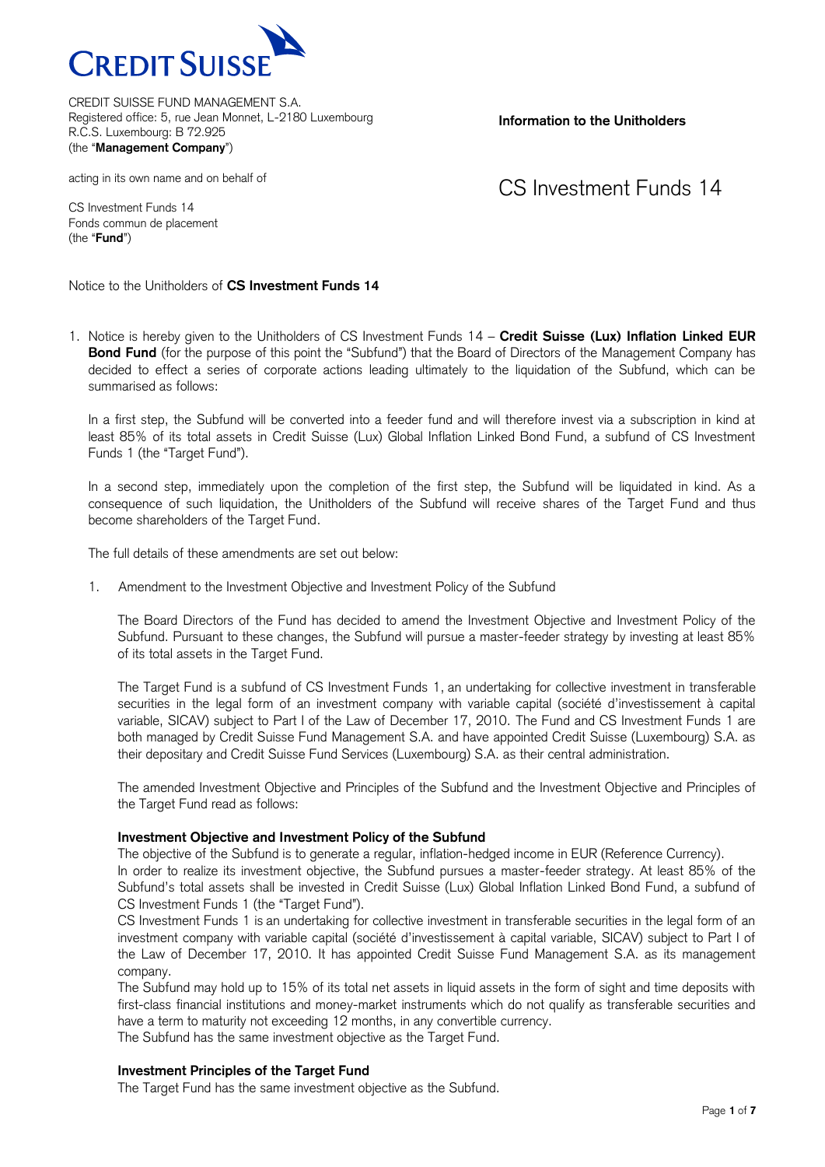

**Information to the Unitholders**

#### acting in its own name and on behalf of

CS Investment Funds 14

CS Investment Funds 14 Fonds commun de placement (the "**Fund**")

Notice to the Unitholders of **CS Investment Funds 14**

1. Notice is hereby given to the Unitholders of CS Investment Funds 14 – **Credit Suisse (Lux) Inflation Linked EUR Bond Fund** (for the purpose of this point the "Subfund") that the Board of Directors of the Management Company has decided to effect a series of corporate actions leading ultimately to the liquidation of the Subfund, which can be summarised as follows:

In a first step, the Subfund will be converted into a feeder fund and will therefore invest via a subscription in kind at least 85% of its total assets in Credit Suisse (Lux) Global Inflation Linked Bond Fund, a subfund of CS Investment Funds 1 (the "Target Fund").

In a second step, immediately upon the completion of the first step, the Subfund will be liquidated in kind. As a consequence of such liquidation, the Unitholders of the Subfund will receive shares of the Target Fund and thus become shareholders of the Target Fund.

The full details of these amendments are set out below:

1. Amendment to the Investment Objective and Investment Policy of the Subfund

The Board Directors of the Fund has decided to amend the Investment Objective and Investment Policy of the Subfund. Pursuant to these changes, the Subfund will pursue a master-feeder strategy by investing at least 85% of its total assets in the Target Fund.

The Target Fund is a subfund of CS Investment Funds 1, an undertaking for collective investment in transferable securities in the legal form of an investment company with variable capital (société d'investissement à capital variable, SICAV) subject to Part I of the Law of December 17, 2010. The Fund and CS Investment Funds 1 are both managed by Credit Suisse Fund Management S.A. and have appointed Credit Suisse (Luxembourg) S.A. as their depositary and Credit Suisse Fund Services (Luxembourg) S.A. as their central administration.

The amended Investment Objective and Principles of the Subfund and the Investment Objective and Principles of the Target Fund read as follows:

### **Investment Objective and Investment Policy of the Subfund**

The objective of the Subfund is to generate a regular, inflation-hedged income in EUR (Reference Currency).

In order to realize its investment objective, the Subfund pursues a master-feeder strategy. At least 85% of the Subfund's total assets shall be invested in Credit Suisse (Lux) Global Inflation Linked Bond Fund, a subfund of CS Investment Funds 1 (the "Target Fund").

CS Investment Funds 1 is an undertaking for collective investment in transferable securities in the legal form of an investment company with variable capital (société d'investissement à capital variable, SICAV) subject to Part I of the Law of December 17, 2010. It has appointed Credit Suisse Fund Management S.A. as its management company.

The Subfund may hold up to 15% of its total net assets in liquid assets in the form of sight and time deposits with first-class financial institutions and money-market instruments which do not qualify as transferable securities and have a term to maturity not exceeding 12 months, in any convertible currency.

The Subfund has the same investment objective as the Target Fund.

## **Investment Principles of the Target Fund**

The Target Fund has the same investment objective as the Subfund.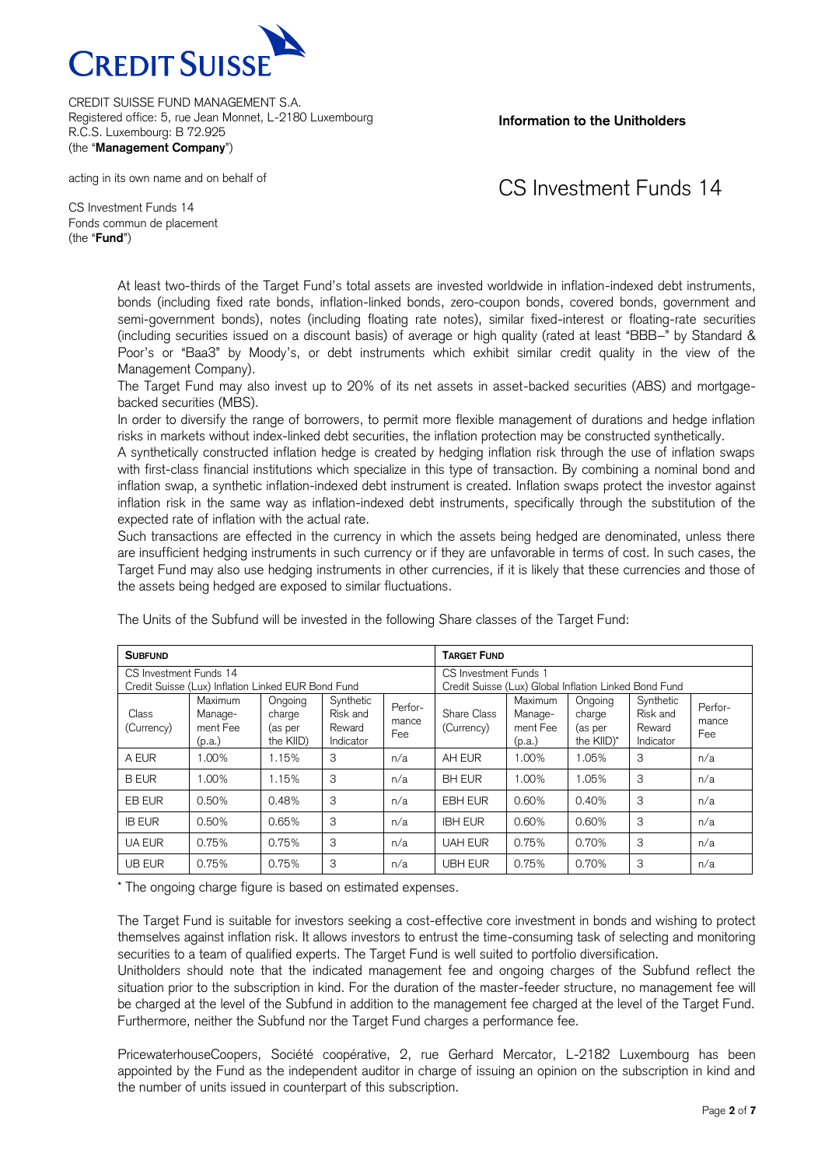

**Information to the Unitholders**

### acting in its own name and on behalf of

# CS Investment Funds 14

CS Investment Funds 14 Fonds commun de placement (the "**Fund**")

> At least two-thirds of the Target Fund's total assets are invested worldwide in inflation-indexed debt instruments, bonds (including fixed rate bonds, inflation-linked bonds, zero-coupon bonds, covered bonds, government and semi-government bonds), notes (including floating rate notes), similar fixed-interest or floating-rate securities (including securities issued on a discount basis) of average or high quality (rated at least "BBB–" by Standard & Poor's or "Baa3" by Moody's, or debt instruments which exhibit similar credit quality in the view of the Management Company).

> The Target Fund may also invest up to 20% of its net assets in asset-backed securities (ABS) and mortgagebacked securities (MBS).

> In order to diversify the range of borrowers, to permit more flexible management of durations and hedge inflation risks in markets without index-linked debt securities, the inflation protection may be constructed synthetically.

> A synthetically constructed inflation hedge is created by hedging inflation risk through the use of inflation swaps with first-class financial institutions which specialize in this type of transaction. By combining a nominal bond and inflation swap, a synthetic inflation-indexed debt instrument is created. Inflation swaps protect the investor against inflation risk in the same way as inflation-indexed debt instruments, specifically through the substitution of the expected rate of inflation with the actual rate.

> Such transactions are effected in the currency in which the assets being hedged are denominated, unless there are insufficient hedging instruments in such currency or if they are unfavorable in terms of cost. In such cases, the Target Fund may also use hedging instruments in other currencies, if it is likely that these currencies and those of the assets being hedged are exposed to similar fluctuations.

| <b>SUBFUND</b>                                     |                                          |                                           |                                              |                                                       | <b>TARGET FUND</b>        |                                          |                                            |                                              |                         |
|----------------------------------------------------|------------------------------------------|-------------------------------------------|----------------------------------------------|-------------------------------------------------------|---------------------------|------------------------------------------|--------------------------------------------|----------------------------------------------|-------------------------|
| CS Investment Funds 14                             |                                          |                                           |                                              |                                                       | CS Investment Funds 1     |                                          |                                            |                                              |                         |
| Credit Suisse (Lux) Inflation Linked EUR Bond Fund |                                          |                                           |                                              | Credit Suisse (Lux) Global Inflation Linked Bond Fund |                           |                                          |                                            |                                              |                         |
| Class<br>(Currency)                                | Maximum<br>Manage-<br>ment Fee<br>(p.a.) | Ongoing<br>charge<br>(as per<br>the KIID) | Synthetic<br>Risk and<br>Reward<br>Indicator | Perfor-<br>mance<br>Fee                               | Share Class<br>(Currency) | Maximum<br>Manage-<br>ment Fee<br>(p.a.) | Ongoing<br>charge<br>(as per<br>the KIID)* | Synthetic<br>Risk and<br>Reward<br>Indicator | Perfor-<br>mance<br>Fee |
| A EUR                                              | 1.00%                                    | 1.15%                                     | 3                                            | n/a                                                   | AH EUR                    | 1.00%                                    | 1.05%                                      | 3                                            | n/a                     |
| <b>B EUR</b>                                       | 1.00%                                    | 1.15%                                     | 3                                            | n/a                                                   | <b>BH EUR</b>             | 1.00%                                    | 1.05%                                      | 3                                            | n/a                     |
| <b>EB EUR</b>                                      | 0.50%                                    | 0.48%                                     | 3                                            | n/a                                                   | <b>EBH EUR</b>            | 0.60%                                    | 0.40%                                      | 3                                            | n/a                     |
| <b>IB EUR</b>                                      | 0.50%                                    | 0.65%                                     | 3                                            | n/a                                                   | <b>IBH EUR</b>            | 0.60%                                    | 0.60%                                      | 3                                            | n/a                     |
| <b>UA EUR</b>                                      | 0.75%                                    | 0.75%                                     | 3                                            | n/a                                                   | <b>UAH EUR</b>            | 0.75%                                    | 0.70%                                      | 3                                            | n/a                     |
| <b>UB EUR</b>                                      | 0.75%                                    | 0.75%                                     | 3                                            | n/a                                                   | <b>UBH EUR</b>            | 0.75%                                    | 0.70%                                      | 3                                            | n/a                     |

The Units of the Subfund will be invested in the following Share classes of the Target Fund:

\* The ongoing charge figure is based on estimated expenses.

The Target Fund is suitable for investors seeking a cost-effective core investment in bonds and wishing to protect themselves against inflation risk. It allows investors to entrust the time-consuming task of selecting and monitoring securities to a team of qualified experts. The Target Fund is well suited to portfolio diversification.

Unitholders should note that the indicated management fee and ongoing charges of the Subfund reflect the situation prior to the subscription in kind. For the duration of the master-feeder structure, no management fee will be charged at the level of the Subfund in addition to the management fee charged at the level of the Target Fund. Furthermore, neither the Subfund nor the Target Fund charges a performance fee.

PricewaterhouseCoopers, Société coopérative, 2, rue Gerhard Mercator, L-2182 Luxembourg has been appointed by the Fund as the independent auditor in charge of issuing an opinion on the subscription in kind and the number of units issued in counterpart of this subscription.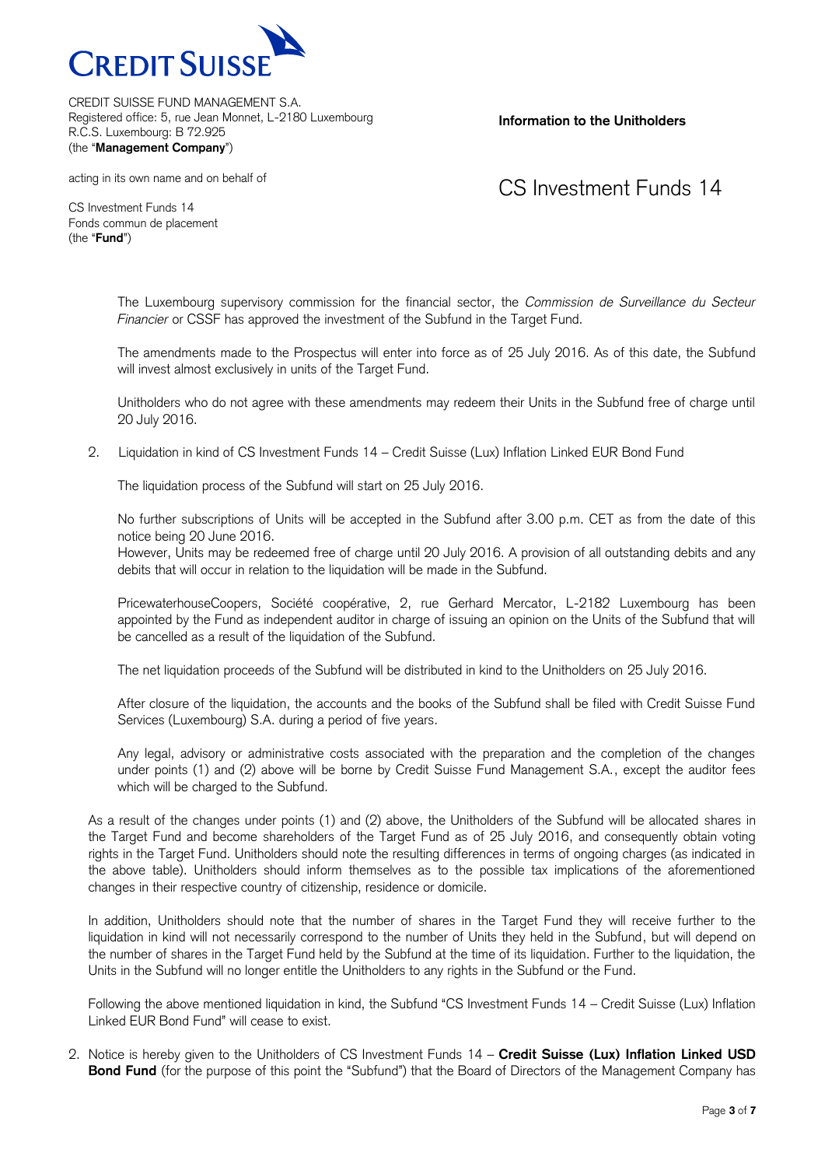

**Information to the Unitholders**

acting in its own name and on behalf of

## CS Investment Funds 14

CS Investment Funds 14 Fonds commun de placement (the "**Fund**")

> The Luxembourg supervisory commission for the financial sector, the *Commission de Surveillance du Secteur Financier* or CSSF has approved the investment of the Subfund in the Target Fund.

> The amendments made to the Prospectus will enter into force as of 25 July 2016. As of this date, the Subfund will invest almost exclusively in units of the Target Fund.

> Unitholders who do not agree with these amendments may redeem their Units in the Subfund free of charge until 20 July 2016.

2. Liquidation in kind of CS Investment Funds 14 – Credit Suisse (Lux) Inflation Linked EUR Bond Fund

The liquidation process of the Subfund will start on 25 July 2016.

No further subscriptions of Units will be accepted in the Subfund after 3.00 p.m. CET as from the date of this notice being 20 June 2016.

However, Units may be redeemed free of charge until 20 July 2016. A provision of all outstanding debits and any debits that will occur in relation to the liquidation will be made in the Subfund.

PricewaterhouseCoopers, Société coopérative, 2, rue Gerhard Mercator, L-2182 Luxembourg has been appointed by the Fund as independent auditor in charge of issuing an opinion on the Units of the Subfund that will be cancelled as a result of the liquidation of the Subfund.

The net liquidation proceeds of the Subfund will be distributed in kind to the Unitholders on 25 July 2016.

After closure of the liquidation, the accounts and the books of the Subfund shall be filed with Credit Suisse Fund Services (Luxembourg) S.A. during a period of five years.

Any legal, advisory or administrative costs associated with the preparation and the completion of the changes under points (1) and (2) above will be borne by Credit Suisse Fund Management S.A., except the auditor fees which will be charged to the Subfund.

As a result of the changes under points (1) and (2) above, the Unitholders of the Subfund will be allocated shares in the Target Fund and become shareholders of the Target Fund as of 25 July 2016, and consequently obtain voting rights in the Target Fund. Unitholders should note the resulting differences in terms of ongoing charges (as indicated in the above table). Unitholders should inform themselves as to the possible tax implications of the aforementioned changes in their respective country of citizenship, residence or domicile.

In addition, Unitholders should note that the number of shares in the Target Fund they will receive further to the liquidation in kind will not necessarily correspond to the number of Units they held in the Subfund, but will depend on the number of shares in the Target Fund held by the Subfund at the time of its liquidation. Further to the liquidation, the Units in the Subfund will no longer entitle the Unitholders to any rights in the Subfund or the Fund.

Following the above mentioned liquidation in kind, the Subfund "CS Investment Funds 14 – Credit Suisse (Lux) Inflation Linked EUR Bond Fund" will cease to exist.

2. Notice is hereby given to the Unitholders of CS Investment Funds 14 – **Credit Suisse (Lux) Inflation Linked USD Bond Fund** (for the purpose of this point the "Subfund") that the Board of Directors of the Management Company has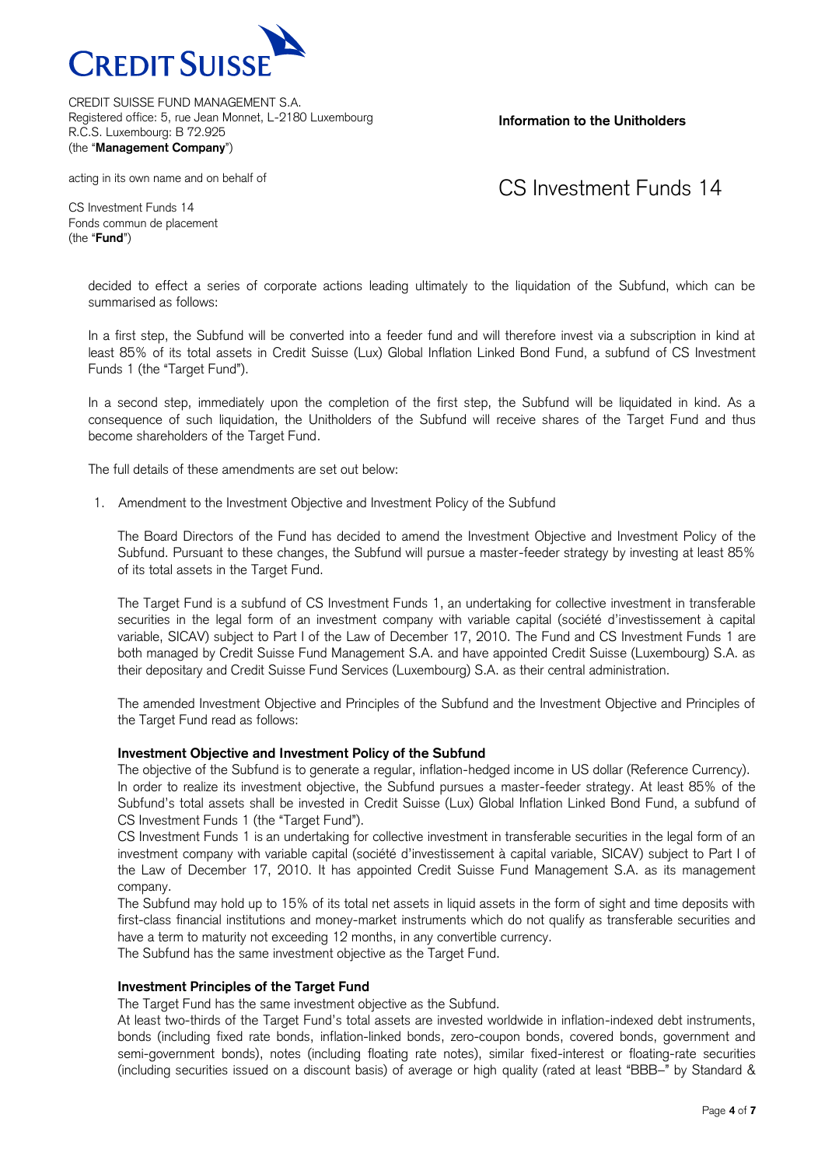

**Information to the Unitholders**

#### acting in its own name and on behalf of

## CS Investment Funds 14

CS Investment Funds 14 Fonds commun de placement (the "**Fund**")

> decided to effect a series of corporate actions leading ultimately to the liquidation of the Subfund, which can be summarised as follows:

> In a first step, the Subfund will be converted into a feeder fund and will therefore invest via a subscription in kind at least 85% of its total assets in Credit Suisse (Lux) Global Inflation Linked Bond Fund, a subfund of CS Investment Funds 1 (the "Target Fund").

> In a second step, immediately upon the completion of the first step, the Subfund will be liquidated in kind. As a consequence of such liquidation, the Unitholders of the Subfund will receive shares of the Target Fund and thus become shareholders of the Target Fund.

The full details of these amendments are set out below:

1. Amendment to the Investment Objective and Investment Policy of the Subfund

The Board Directors of the Fund has decided to amend the Investment Objective and Investment Policy of the Subfund. Pursuant to these changes, the Subfund will pursue a master-feeder strategy by investing at least 85% of its total assets in the Target Fund.

The Target Fund is a subfund of CS Investment Funds 1, an undertaking for collective investment in transferable securities in the legal form of an investment company with variable capital (société d'investissement à capital variable, SICAV) subject to Part I of the Law of December 17, 2010. The Fund and CS Investment Funds 1 are both managed by Credit Suisse Fund Management S.A. and have appointed Credit Suisse (Luxembourg) S.A. as their depositary and Credit Suisse Fund Services (Luxembourg) S.A. as their central administration.

The amended Investment Objective and Principles of the Subfund and the Investment Objective and Principles of the Target Fund read as follows:

### **Investment Objective and Investment Policy of the Subfund**

The objective of the Subfund is to generate a regular, inflation-hedged income in US dollar (Reference Currency). In order to realize its investment objective, the Subfund pursues a master-feeder strategy. At least 85% of the Subfund's total assets shall be invested in Credit Suisse (Lux) Global Inflation Linked Bond Fund, a subfund of CS Investment Funds 1 (the "Target Fund").

CS Investment Funds 1 is an undertaking for collective investment in transferable securities in the legal form of an investment company with variable capital (société d'investissement à capital variable, SICAV) subject to Part I of the Law of December 17, 2010. It has appointed Credit Suisse Fund Management S.A. as its management company.

The Subfund may hold up to 15% of its total net assets in liquid assets in the form of sight and time deposits with first-class financial institutions and money-market instruments which do not qualify as transferable securities and have a term to maturity not exceeding 12 months, in any convertible currency.

The Subfund has the same investment objective as the Target Fund.

### **Investment Principles of the Target Fund**

The Target Fund has the same investment objective as the Subfund.

At least two-thirds of the Target Fund's total assets are invested worldwide in inflation-indexed debt instruments, bonds (including fixed rate bonds, inflation-linked bonds, zero-coupon bonds, covered bonds, government and semi-government bonds), notes (including floating rate notes), similar fixed-interest or floating-rate securities (including securities issued on a discount basis) of average or high quality (rated at least "BBB–" by Standard &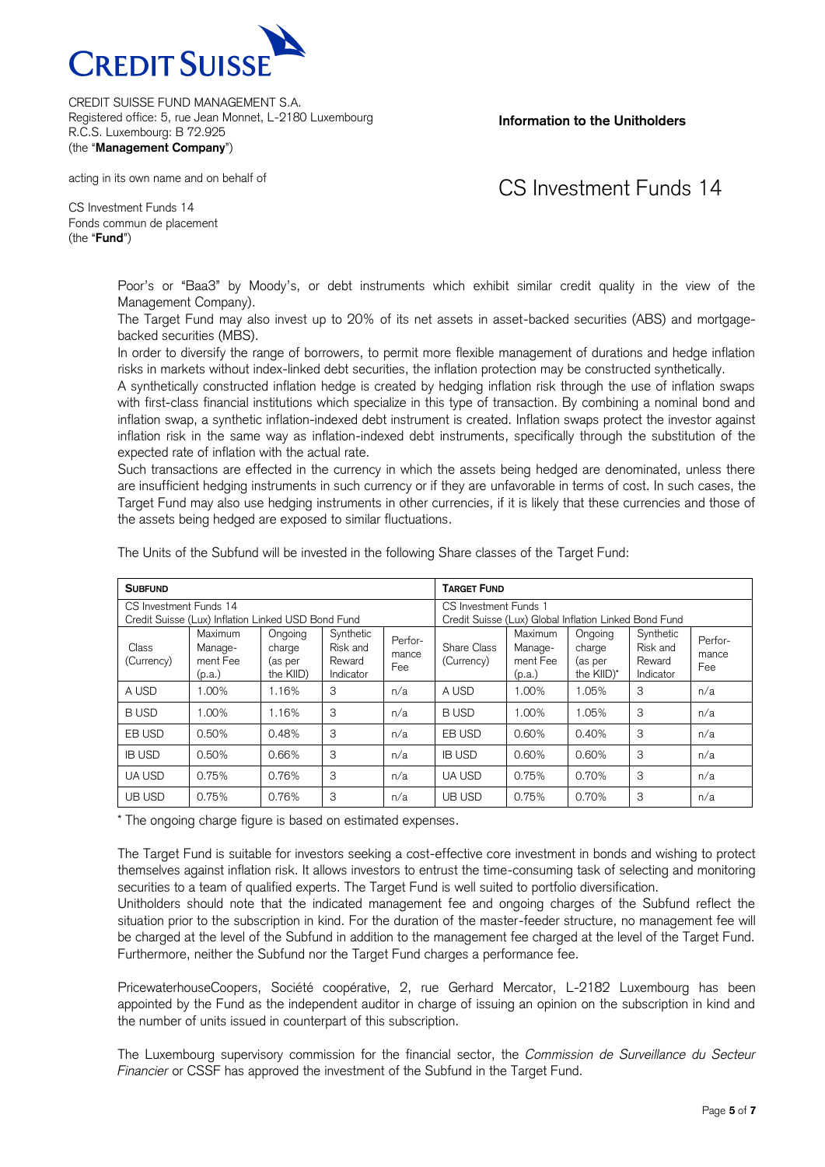

**Information to the Unitholders**

#### acting in its own name and on behalf of

## CS Investment Funds 14

CS Investment Funds 14 Fonds commun de placement (the "**Fund**")

> Poor's or "Baa3" by Moody's, or debt instruments which exhibit similar credit quality in the view of the Management Company).

> The Target Fund may also invest up to 20% of its net assets in asset-backed securities (ABS) and mortgagebacked securities (MBS).

> In order to diversify the range of borrowers, to permit more flexible management of durations and hedge inflation risks in markets without index-linked debt securities, the inflation protection may be constructed synthetically.

> A synthetically constructed inflation hedge is created by hedging inflation risk through the use of inflation swaps with first-class financial institutions which specialize in this type of transaction. By combining a nominal bond and inflation swap, a synthetic inflation-indexed debt instrument is created. Inflation swaps protect the investor against inflation risk in the same way as inflation-indexed debt instruments, specifically through the substitution of the expected rate of inflation with the actual rate.

> Such transactions are effected in the currency in which the assets being hedged are denominated, unless there are insufficient hedging instruments in such currency or if they are unfavorable in terms of cost. In such cases, the Target Fund may also use hedging instruments in other currencies, if it is likely that these currencies and those of the assets being hedged are exposed to similar fluctuations.

| <b>SUBFUND</b>                                                               |                                                 |                                           |                                              |                         | <b>TARGET FUND</b>                                                                    |                                          |                                            |                                              |                         |
|------------------------------------------------------------------------------|-------------------------------------------------|-------------------------------------------|----------------------------------------------|-------------------------|---------------------------------------------------------------------------------------|------------------------------------------|--------------------------------------------|----------------------------------------------|-------------------------|
| CS Investment Funds 14<br>Credit Suisse (Lux) Inflation Linked USD Bond Fund |                                                 |                                           |                                              |                         | <b>CS Investment Funds 1</b><br>Credit Suisse (Lux) Global Inflation Linked Bond Fund |                                          |                                            |                                              |                         |
| Class<br>(Currency)                                                          | <b>Maximum</b><br>Manage-<br>ment Fee<br>(p.a.) | Ongoing<br>charge<br>(as per<br>the KIID) | Synthetic<br>Risk and<br>Reward<br>Indicator | Perfor-<br>mance<br>Fee | Share Class<br>(Currency)                                                             | Maximum<br>Manage-<br>ment Fee<br>(p.a.) | Ongoing<br>charge<br>(as per<br>the KIID)* | Synthetic<br>Risk and<br>Reward<br>Indicator | Perfor-<br>mance<br>Fee |
| A USD                                                                        | 1.00%                                           | 1.16%                                     | 3                                            | n/a                     | A USD                                                                                 | 1.00%                                    | 1.05%                                      | 3                                            | n/a                     |
| <b>BUSD</b>                                                                  | 1.00%                                           | 1.16%                                     | 3                                            | n/a                     | <b>BUSD</b>                                                                           | 1.00%                                    | 1.05%                                      | 3                                            | n/a                     |
| EB USD                                                                       | 0.50%                                           | 0.48%                                     | 3                                            | n/a                     | EB USD                                                                                | 0.60%                                    | 0.40%                                      | 3                                            | n/a                     |
| <b>IB USD</b>                                                                | 0.50%                                           | 0.66%                                     | 3                                            | n/a                     | <b>IB USD</b>                                                                         | 0.60%                                    | 0.60%                                      | 3                                            | n/a                     |
| <b>UA USD</b>                                                                | 0.75%                                           | 0.76%                                     | 3                                            | n/a                     | <b>UA USD</b>                                                                         | 0.75%                                    | 0.70%                                      | 3                                            | n/a                     |
| <b>UB USD</b>                                                                | 0.75%                                           | 0.76%                                     | 3                                            | n/a                     | UB USD                                                                                | 0.75%                                    | 0.70%                                      | 3                                            | n/a                     |

The Units of the Subfund will be invested in the following Share classes of the Target Fund:

\* The ongoing charge figure is based on estimated expenses.

The Target Fund is suitable for investors seeking a cost-effective core investment in bonds and wishing to protect themselves against inflation risk. It allows investors to entrust the time-consuming task of selecting and monitoring securities to a team of qualified experts. The Target Fund is well suited to portfolio diversification.

Unitholders should note that the indicated management fee and ongoing charges of the Subfund reflect the situation prior to the subscription in kind. For the duration of the master-feeder structure, no management fee will be charged at the level of the Subfund in addition to the management fee charged at the level of the Target Fund. Furthermore, neither the Subfund nor the Target Fund charges a performance fee.

PricewaterhouseCoopers, Société coopérative, 2, rue Gerhard Mercator, L-2182 Luxembourg has been appointed by the Fund as the independent auditor in charge of issuing an opinion on the subscription in kind and the number of units issued in counterpart of this subscription.

The Luxembourg supervisory commission for the financial sector, the *Commission de Surveillance du Secteur Financier* or CSSF has approved the investment of the Subfund in the Target Fund.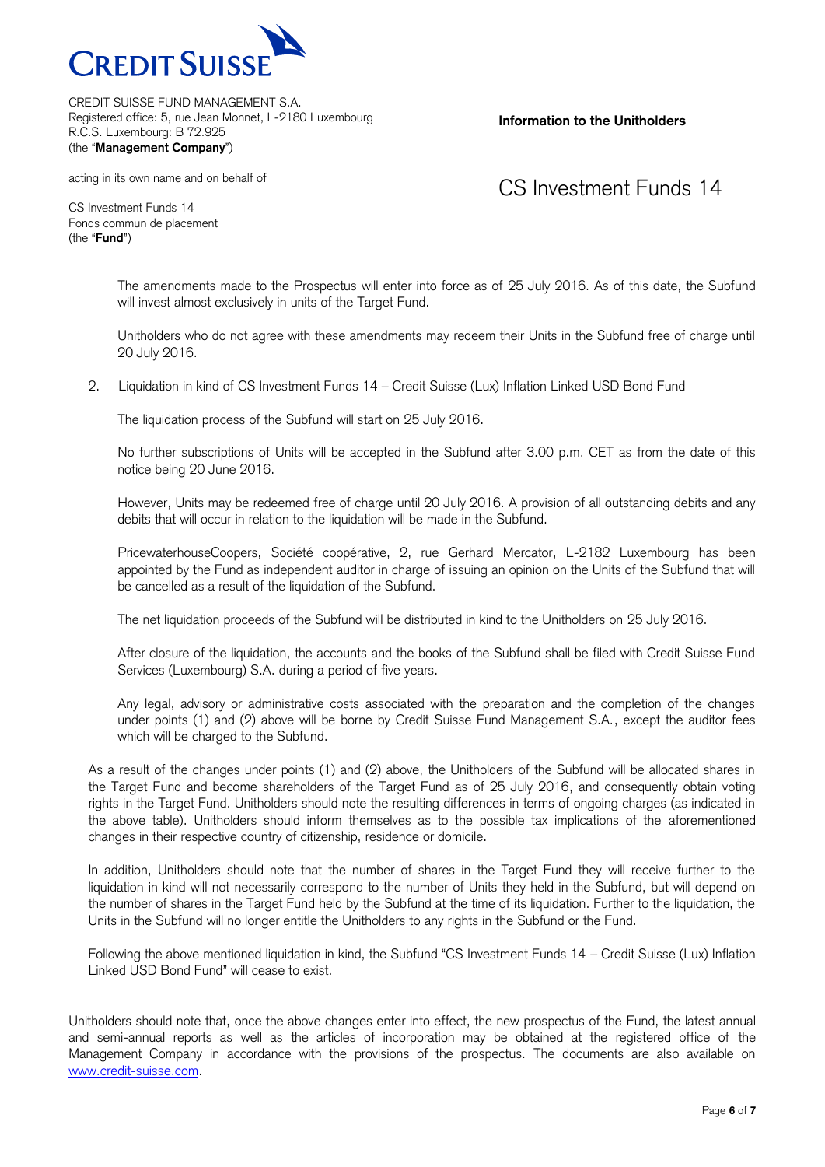

### **Information to the Unitholders**

acting in its own name and on behalf of

## CS Investment Funds 14

CS Investment Funds 14 Fonds commun de placement (the "**Fund**")

> The amendments made to the Prospectus will enter into force as of 25 July 2016. As of this date, the Subfund will invest almost exclusively in units of the Target Fund.

> Unitholders who do not agree with these amendments may redeem their Units in the Subfund free of charge until 20 July 2016.

2. Liquidation in kind of CS Investment Funds 14 – Credit Suisse (Lux) Inflation Linked USD Bond Fund

The liquidation process of the Subfund will start on 25 July 2016.

No further subscriptions of Units will be accepted in the Subfund after 3.00 p.m. CET as from the date of this notice being 20 June 2016.

However, Units may be redeemed free of charge until 20 July 2016. A provision of all outstanding debits and any debits that will occur in relation to the liquidation will be made in the Subfund.

PricewaterhouseCoopers, Société coopérative, 2, rue Gerhard Mercator, L-2182 Luxembourg has been appointed by the Fund as independent auditor in charge of issuing an opinion on the Units of the Subfund that will be cancelled as a result of the liquidation of the Subfund.

The net liquidation proceeds of the Subfund will be distributed in kind to the Unitholders on 25 July 2016.

After closure of the liquidation, the accounts and the books of the Subfund shall be filed with Credit Suisse Fund Services (Luxembourg) S.A. during a period of five years.

Any legal, advisory or administrative costs associated with the preparation and the completion of the changes under points (1) and (2) above will be borne by Credit Suisse Fund Management S.A., except the auditor fees which will be charged to the Subfund.

As a result of the changes under points (1) and (2) above, the Unitholders of the Subfund will be allocated shares in the Target Fund and become shareholders of the Target Fund as of 25 July 2016, and consequently obtain voting rights in the Target Fund. Unitholders should note the resulting differences in terms of ongoing charges (as indicated in the above table). Unitholders should inform themselves as to the possible tax implications of the aforementioned changes in their respective country of citizenship, residence or domicile.

In addition, Unitholders should note that the number of shares in the Target Fund they will receive further to the liquidation in kind will not necessarily correspond to the number of Units they held in the Subfund, but will depend on the number of shares in the Target Fund held by the Subfund at the time of its liquidation. Further to the liquidation, the Units in the Subfund will no longer entitle the Unitholders to any rights in the Subfund or the Fund.

Following the above mentioned liquidation in kind, the Subfund "CS Investment Funds 14 – Credit Suisse (Lux) Inflation Linked USD Bond Fund" will cease to exist.

Unitholders should note that, once the above changes enter into effect, the new prospectus of the Fund, the latest annual and semi-annual reports as well as the articles of incorporation may be obtained at the registered office of the Management Company in accordance with the provisions of the prospectus. The documents are also available on [www.credit-suisse.com.](http://www.credit-suisse.com/)